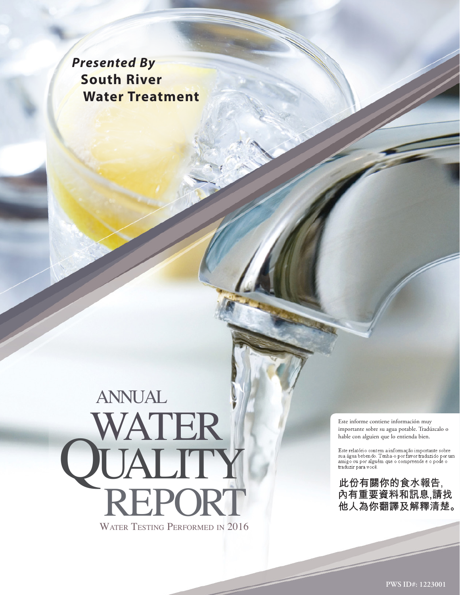*Presented By*  **South River Water Treatment**

# WATER TESTING PERFORMED IN 2016 WAT **QUALITY**<br>REPORT annual

Este informe contiene información muy importante sobre su agua potable. Tradúzcalo o hable con alguien que lo entienda bien.

Este relatório contem a informação importante sobre<br>sua água bebendo. Tenha-o por favor traduzido por um<br>amigo ou por alguém que o compreende e o pode o traduzir para você.

此份有關你的食水報告, 內有重要資料和訊息,請找 他人為你翻譯及解釋清楚。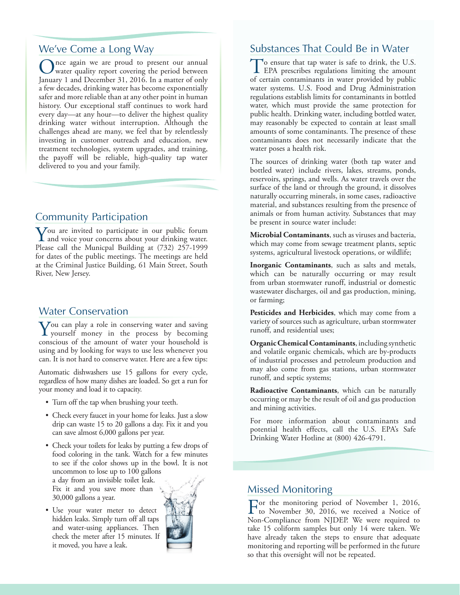## We've Come a Long Way

nce again we are proud to present our annual water quality report covering the period between January 1 and December 31, 2016. In a matter of only a few decades, drinking water has become exponentially safer and more reliable than at any other point in human history. Our exceptional staff continues to work hard every day—at any hour—to deliver the highest quality drinking water without interruption. Although the challenges ahead are many, we feel that by relentlessly investing in customer outreach and education, new treatment technologies, system upgrades, and training, the payoff will be reliable, high-quality tap water delivered to you and your family.

# Community Participation

You are invited to participate in our public forum<br>and voice your concerns about your drinking water. Please call the Municpal Building at (732) 257-1999 for dates of the public meetings. The meetings are held at the Criminal Justice Building, 61 Main Street, South River, New Jersey.

## Water Conservation

 $\sum_{\text{you} \text{self}}$  money in the process by becoming approximately the process by becoming conscious of the amount of water your household is using and by looking for ways to use less whenever you can. It is not hard to conserve water. Here are a few tips:

Automatic dishwashers use 15 gallons for every cycle, regardless of how many dishes are loaded. So get a run for your money and load it to capacity.

- Turn off the tap when brushing your teeth.
- Check every faucet in your home for leaks. Just a slow drip can waste 15 to 20 gallons a day. Fix it and you can save almost 6,000 gallons per year.
- Check your toilets for leaks by putting a few drops of food coloring in the tank. Watch for a few minutes to see if the color shows up in the bowl. It is not uncommon to lose up to 100 gallons a day from an invisible toilet leak. Fix it and you save more than 30,000 gallons a year.
- Use your water meter to detect hidden leaks. Simply turn off all taps and water-using appliances. Then check the meter after 15 minutes. If it moved, you have a leak.



# Substances That Could Be in Water

To ensure that tap water is safe to drink, the U.S.<br>EPA prescribes regulations limiting the amount of certain contaminants in water provided by public water systems. U.S. Food and Drug Administration regulations establish limits for contaminants in bottled water, which must provide the same protection for public health. Drinking water, including bottled water, may reasonably be expected to contain at least small amounts of some contaminants. The presence of these contaminants does not necessarily indicate that the water poses a health risk.

The sources of drinking water (both tap water and bottled water) include rivers, lakes, streams, ponds, reservoirs, springs, and wells. As water travels over the surface of the land or through the ground, it dissolves naturally occurring minerals, in some cases, radioactive material, and substances resulting from the presence of animals or from human activity. Substances that may be present in source water include:

**Microbial Contaminants**, such as viruses and bacteria, which may come from sewage treatment plants, septic systems, agricultural livestock operations, or wildlife;

**Inorganic Contaminants**, such as salts and metals, which can be naturally occurring or may result from urban stormwater runoff, industrial or domestic wastewater discharges, oil and gas production, mining, or farming;

**Pesticides and Herbicides**, which may come from a variety of sources such as agriculture, urban stormwater runoff, and residential uses;

**Organic Chemical Contaminants**, including synthetic and volatile organic chemicals, which are by-products of industrial processes and petroleum production and may also come from gas stations, urban stormwater runoff, and septic systems;

**Radioactive Contaminants**, which can be naturally occurring or may be the result of oil and gas production and mining activities.

For more information about contaminants and potential health effects, call the U.S. EPA's Safe Drinking Water Hotline at (800) 426-4791.

#### Missed Monitoring

For the monitoring period of November 1, 2016, to November 30, 2016, we received a Notice of Non-Compliance from NJDEP. We were required to take 15 coliform samples but only 14 were taken. We have already taken the steps to ensure that adequate monitoring and reporting will be performed in the future so that this oversight will not be repeated.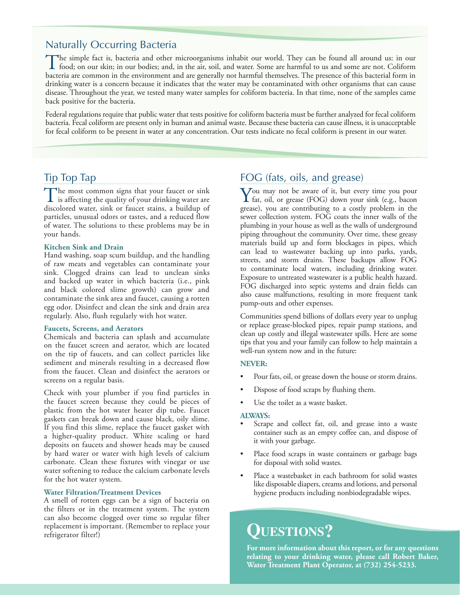# Naturally Occurring Bacteria

The simple fact is, bacteria and other microorganisms inhabit our world. They can be found all around us: in our<br>food; on our skin; in our bodies; and, in the air, soil, and water. Some are harmful to us and some are not. bacteria are common in the environment and are generally not harmful themselves. The presence of this bacterial form in drinking water is a concern because it indicates that the water may be contaminated with other organisms that can cause disease. Throughout the year, we tested many water samples for coliform bacteria. In that time, none of the samples came back positive for the bacteria.

Federal regulations require that public water that tests positive for coliform bacteria must be further analyzed for fecal coliform bacteria. Fecal coliform are present only in human and animal waste. Because these bacteria can cause illness, it is unacceptable for fecal coliform to be present in water at any concentration. Our tests indicate no fecal coliform is present in our water.

## Tip Top Tap

The most common signs that your faucet or sink<br>is affecting the quality of your drinking water are<br>discussed by the contract of the state of the state of discolored water, sink or faucet stains, a buildup of particles, unusual odors or tastes, and a reduced flow of water. The solutions to these problems may be in your hands.

#### **Kitchen Sink and Drain**

Hand washing, soap scum buildup, and the handling of raw meats and vegetables can contaminate your sink. Clogged drains can lead to unclean sinks and backed up water in which bacteria (i.e., pink and black colored slime growth) can grow and contaminate the sink area and faucet, causing a rotten egg odor. Disinfect and clean the sink and drain area regularly. Also, flush regularly with hot water.

#### **Faucets, Screens, and Aerators**

Chemicals and bacteria can splash and accumulate on the faucet screen and aerator, which are located on the tip of faucets, and can collect particles like sediment and minerals resulting in a decreased flow from the faucet. Clean and disinfect the aerators or screens on a regular basis.

Check with your plumber if you find particles in the faucet screen because they could be pieces of plastic from the hot water heater dip tube. Faucet gaskets can break down and cause black, oily slime. If you find this slime, replace the faucet gasket with a higher-quality product. White scaling or hard deposits on faucets and shower heads may be caused by hard water or water with high levels of calcium carbonate. Clean these fixtures with vinegar or use water softening to reduce the calcium carbonate levels for the hot water system.

#### **Water Filtration/Treatment Devices**

A smell of rotten eggs can be a sign of bacteria on the filters or in the treatment system. The system can also become clogged over time so regular filter replacement is important. (Remember to replace your refrigerator filter!)

# FOG (fats, oils, and grease)

You may not be aware of it, but every time you pour<br>fat, oil, or grease (FOG) down your sink (e.g., bacon grease), you are contributing to a costly problem in the sewer collection system. FOG coats the inner walls of the plumbing in your house as well as the walls of underground piping throughout the community. Over time, these greasy materials build up and form blockages in pipes, which can lead to wastewater backing up into parks, yards, streets, and storm drains. These backups allow FOG to contaminate local waters, including drinking water. Exposure to untreated wastewater is a public health hazard. FOG discharged into septic systems and drain fields can also cause malfunctions, resulting in more frequent tank pump-outs and other expenses.

Communities spend billions of dollars every year to unplug or replace grease-blocked pipes, repair pump stations, and clean up costly and illegal wastewater spills. Here are some tips that you and your family can follow to help maintain a well-run system now and in the future:

#### **NEVER:**

- Pour fats, oil, or grease down the house or storm drains.
- Dispose of food scraps by flushing them.
- Use the toilet as a waste basket.

#### **ALWAYS:**

- Scrape and collect fat, oil, and grease into a waste container such as an empty coffee can, and dispose of it with your garbage.
- Place food scraps in waste containers or garbage bags for disposal with solid wastes.
- Place a wastebasket in each bathroom for solid wastes like disposable diapers, creams and lotions, and personal hygiene products including nonbiodegradable wipes.

# **Questions?**

**For more information about this report, or for any questions relating to your drinking water, please call Robert Baker, Water Treatment Plant Operator, at (732) 254-5233.**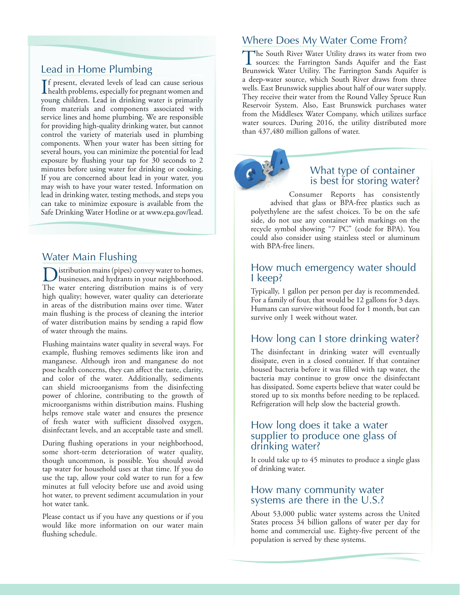# Lead in Home Plumbing

If present, elevated levels of lead can cause serious<br>health problems, especially for pregnant women and health problems, especially for pregnant women and young children. Lead in drinking water is primarily from materials and components associated with service lines and home plumbing. We are responsible for providing high-quality drinking water, but cannot control the variety of materials used in plumbing components. When your water has been sitting for several hours, you can minimize the potential for lead exposure by flushing your tap for 30 seconds to 2 minutes before using water for drinking or cooking. If you are concerned about lead in your water, you may wish to have your water tested. Information on lead in drinking water, testing methods, and steps you can take to minimize exposure is available from the Safe Drinking Water Hotline or at [www.epa.gov/lead.](http://www.epa.gov/lead)

# Water Main Flushing

istribution mains (pipes) convey water to homes, businesses, and hydrants in your neighborhood. The water entering distribution mains is of very high quality; however, water quality can deteriorate in areas of the distribution mains over time. Water main flushing is the process of cleaning the interior of water distribution mains by sending a rapid flow of water through the mains.

Flushing maintains water quality in several ways. For example, flushing removes sediments like iron and manganese. Although iron and manganese do not pose health concerns, they can affect the taste, clarity, and color of the water. Additionally, sediments can shield microorganisms from the disinfecting power of chlorine, contributing to the growth of microorganisms within distribution mains. Flushing helps remove stale water and ensures the presence of fresh water with sufficient dissolved oxygen, disinfectant levels, and an acceptable taste and smell.

During flushing operations in your neighborhood, some short-term deterioration of water quality, though uncommon, is possible. You should avoid tap water for household uses at that time. If you do use the tap, allow your cold water to run for a few minutes at full velocity before use and avoid using hot water, to prevent sediment accumulation in your hot water tank.

Please contact us if you have any questions or if you would like more information on our water main flushing schedule.

# Where Does My Water Come From?

The South River Water Utility draws its water from two sources: the Farrington Sands Aquifer and the East Brunswick Water Utility. The Farrington Sands Aquifer is a deep-water source, which South River draws from three wells. East Brunswick supplies about half of our water supply. They receive their water from the Round Valley Spruce Run Reservoir System. Also, East Brunswick purchases water from the Middlesex Water Company, which utilizes surface water sources. During 2016, the utility distributed more than 437,480 million gallons of water.

# What type of container is best for storing water?

Consumer Reports has consistently advised that glass or BPA-free plastics such as polyethylene are the safest choices. To be on the safe side, do not use any container with markings on the recycle symbol showing "7 PC" (code for BPA). You could also consider using stainless steel or aluminum with BPA-free liners.

#### How much emergency water should I keep?

Typically, 1 gallon per person per day is recommended. For a family of four, that would be 12 gallons for 3 days. Humans can survive without food for 1 month, but can survive only 1 week without water.

# How long can I store drinking water?

The disinfectant in drinking water will eventually dissipate, even in a closed container. If that container housed bacteria before it was filled with tap water, the bacteria may continue to grow once the disinfectant has dissipated. Some experts believe that water could be stored up to six months before needing to be replaced. Refrigeration will help slow the bacterial growth.

## How long does it take a water supplier to produce one glass of drinking water?

It could take up to 45 minutes to produce a single glass of drinking water.

## How many community water systems are there in the U.S.?

About 53,000 public water systems across the United States process 34 billion gallons of water per day for home and commercial use. Eighty-five percent of the population is served by these systems.